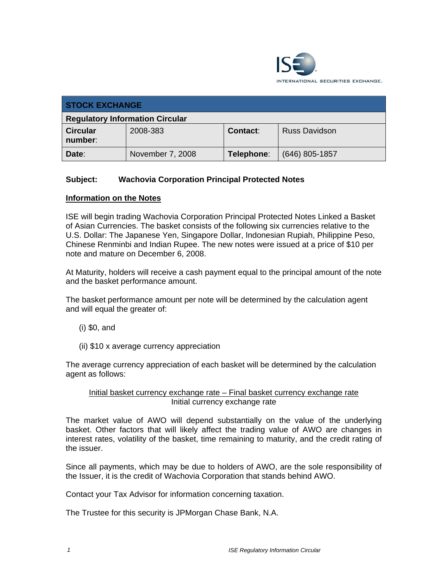

| <b>STOCK EXCHANGE</b>                  |                  |            |                      |  |
|----------------------------------------|------------------|------------|----------------------|--|
| <b>Regulatory Information Circular</b> |                  |            |                      |  |
| <b>Circular</b><br>number:             | 2008-383         | Contact:   | <b>Russ Davidson</b> |  |
| Date:                                  | November 7, 2008 | Telephone: | $(646)$ 805-1857     |  |

## **Subject: Wachovia Corporation Principal Protected Notes**

## **Information on the Notes**

ISE will begin trading Wachovia Corporation Principal Protected Notes Linked a Basket of Asian Currencies. The basket consists of the following six currencies relative to the U.S. Dollar: The Japanese Yen, Singapore Dollar, Indonesian Rupiah, Philippine Peso, Chinese Renminbi and Indian Rupee. The new notes were issued at a price of \$10 per note and mature on December 6, 2008.

At Maturity, holders will receive a cash payment equal to the principal amount of the note and the basket performance amount.

The basket performance amount per note will be determined by the calculation agent and will equal the greater of:

- (i) \$0, and
- (ii) \$10 x average currency appreciation

The average currency appreciation of each basket will be determined by the calculation agent as follows:

## Initial basket currency exchange rate – Final basket currency exchange rate Initial currency exchange rate

The market value of AWO will depend substantially on the value of the underlying basket. Other factors that will likely affect the trading value of AWO are changes in interest rates, volatility of the basket, time remaining to maturity, and the credit rating of the issuer.

Since all payments, which may be due to holders of AWO, are the sole responsibility of the Issuer, it is the credit of Wachovia Corporation that stands behind AWO.

Contact your Tax Advisor for information concerning taxation.

The Trustee for this security is JPMorgan Chase Bank, N.A.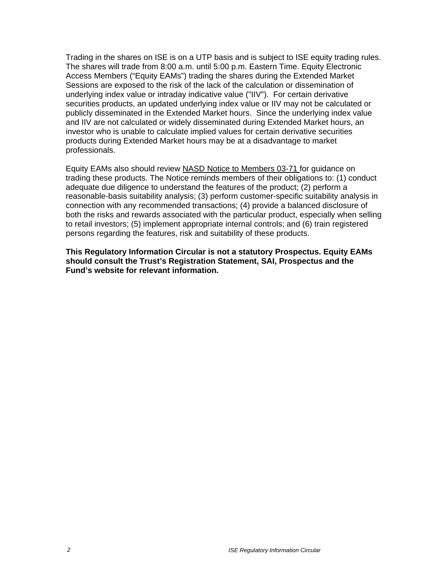Trading in the shares on ISE is on a UTP basis and is subject to ISE equity trading rules. The shares will trade from 8:00 a.m. until 5:00 p.m. Eastern Time. Equity Electronic Access Members ("Equity EAMs") trading the shares during the Extended Market Sessions are exposed to the risk of the lack of the calculation or dissemination of underlying index value or intraday indicative value ("IIV"). For certain derivative securities products, an updated underlying index value or IIV may not be calculated or publicly disseminated in the Extended Market hours. Since the underlying index value and IIV are not calculated or widely disseminated during Extended Market hours, an investor who is unable to calculate implied values for certain derivative securities products during Extended Market hours may be at a disadvantage to market professionals.

Equity EAMs also should review NASD Notice to Members 03-71 for guidance on trading these products. The Notice reminds members of their obligations to: (1) conduct adequate due diligence to understand the features of the product; (2) perform a reasonable-basis suitability analysis; (3) perform customer-specific suitability analysis in connection with any recommended transactions; (4) provide a balanced disclosure of both the risks and rewards associated with the particular product, especially when selling to retail investors; (5) implement appropriate internal controls; and (6) train registered persons regarding the features, risk and suitability of these products.

**This Regulatory Information Circular is not a statutory Prospectus. Equity EAMs should consult the Trust's Registration Statement, SAI, Prospectus and the Fund's website for relevant information.**